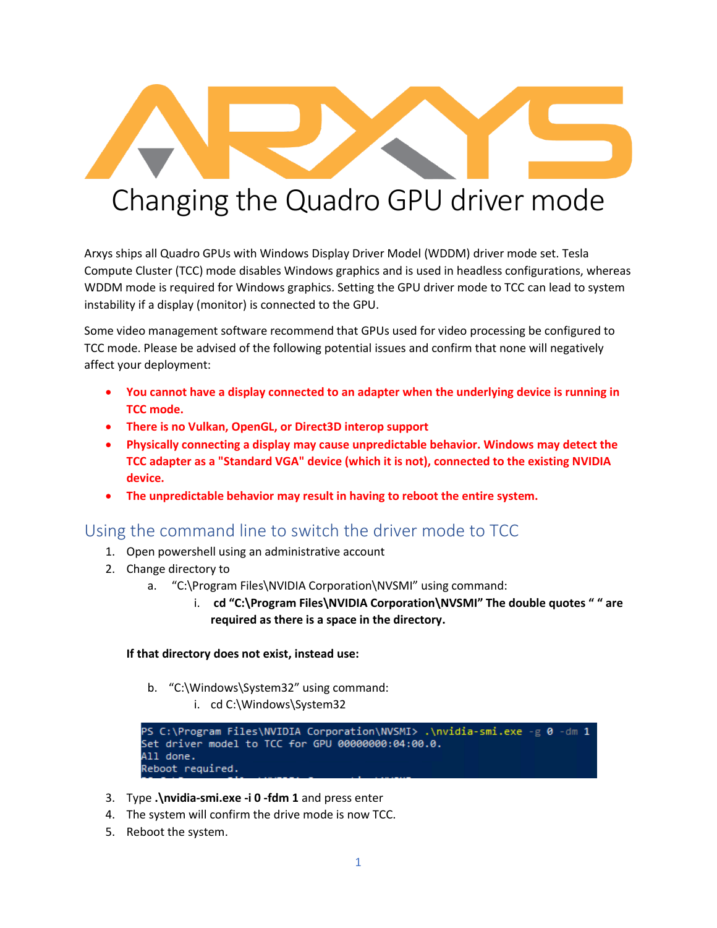

Arxys ships all Quadro GPUs with Windows Display Driver Model (WDDM) driver mode set. Tesla Compute Cluster (TCC) mode disables Windows graphics and is used in headless configurations, whereas WDDM mode is required for Windows graphics. Setting the GPU driver mode to TCC can lead to system instability if a display (monitor) is connected to the GPU.

Some video management software recommend that GPUs used for video processing be configured to TCC mode. Please be advised of the following potential issues and confirm that none will negatively affect your deployment:

- **You cannot have a display connected to an adapter when the underlying device is running in TCC mode.**
- **There is no Vulkan, OpenGL, or Direct3D interop support**
- **Physically connecting a display may cause unpredictable behavior. Windows may detect the TCC adapter as a "Standard VGA" device (which it is not), connected to the existing NVIDIA device.**
- **The unpredictable behavior may result in having to reboot the entire system.**

## Using the command line to switch the driver mode to TCC

- 1. Open powershell using an administrative account
- 2. Change directory to
	- a. "C:\Program Files\NVIDIA Corporation\NVSMI" using command:
		- i. **cd "C:\Program Files\NVIDIA Corporation\NVSMI" The double quotes " " are required as there is a space in the directory.**

## **If that directory does not exist, instead use:**

- b. "C:\Windows\System32" using command:
	- i. cd C:\Windows\System32

```
PS C:\Program Files\NVIDIA Corporation\NVSMI> .\nvidia-smi.exe -g 0 -dm 1
Set driver model to TCC for GPU 00000000:04:00.0.
All done.
Reboot required.
```
- 3. Type **.\nvidia-smi.exe -i 0 -fdm 1** and press enter
- 4. The system will confirm the drive mode is now TCC.
- 5. Reboot the system.